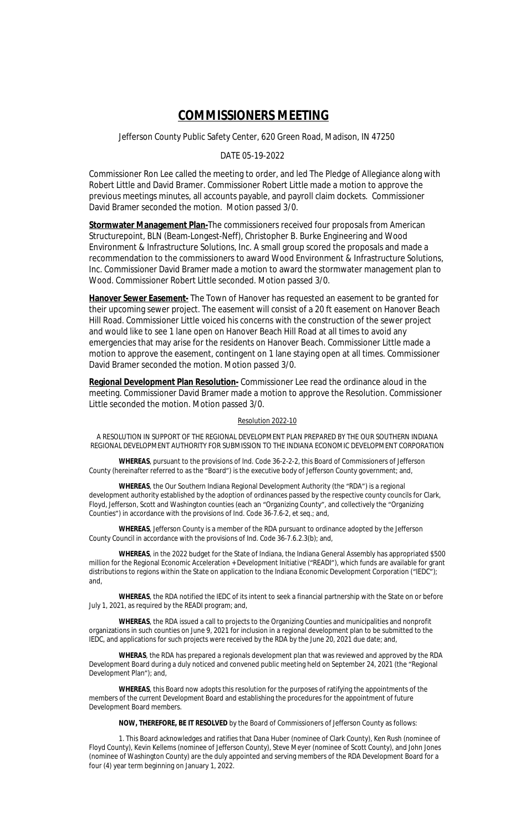## **COMMISSIONERS MEETING**

Jefferson County Public Safety Center, 620 Green Road, Madison, IN 47250

## DATE 05-19-2022

Commissioner Ron Lee called the meeting to order, and led The Pledge of Allegiance along with Robert Little and David Bramer. Commissioner Robert Little made a motion to approve the previous meetings minutes, all accounts payable, and payroll claim dockets. Commissioner David Bramer seconded the motion. Motion passed 3/0.

**Stormwater Management Plan-**The commissioners received four proposals from American Structurepoint, BLN (Beam-Longest-Neff), Christopher B. Burke Engineering and Wood Environment & Infrastructure Solutions, Inc. A small group scored the proposals and made a recommendation to the commissioners to award Wood Environment & Infrastructure Solutions, Inc. Commissioner David Bramer made a motion to award the stormwater management plan to Wood. Commissioner Robert Little seconded. Motion passed 3/0.

**Hanover Sewer Easement-** The Town of Hanover has requested an easement to be granted for their upcoming sewer project. The easement will consist of a 20 ft easement on Hanover Beach Hill Road. Commissioner Little voiced his concerns with the construction of the sewer project and would like to see 1 lane open on Hanover Beach Hill Road at all times to avoid any emergencies that may arise for the residents on Hanover Beach. Commissioner Little made a motion to approve the easement, contingent on 1 lane staying open at all times. Commissioner David Bramer seconded the motion. Motion passed 3/0.

**Regional Development Plan Resolution-** Commissioner Lee read the ordinance aloud in the meeting. Commissioner David Bramer made a motion to approve the Resolution. Commissioner Little seconded the motion. Motion passed 3/0.

## Resolution 2022-10

A RESOLUTION IN SUPPORT OF THE REGIONAL DEVELOPMENT PLAN PREPARED BY THE OUR SOUTHERN INDIANA REGIONAL DEVELOPMENT AUTHORITY FOR SUBMISSION TO THE INDIANA ECONOMIC DEVELOPMENT CORPORATION

**WHEREAS**, pursuant to the provisions of Ind. Code 36-2-2-2, this Board of Commissioners of Jefferson County (hereinafter referred to as the "Board") is the executive body of Jefferson County government; and,

**WHEREAS**, the Our Southern Indiana Regional Development Authority (the "RDA") is a regional development authority established by the adoption of ordinances passed by the respective county councils for Clark, Floyd, Jefferson, Scott and Washington counties (each an "Organizing County", and collectively the "Organizing Counties") in accordance with the provisions of Ind. Code 36-7.6-2, *et seq.;* and,

**WHEREAS**, Jefferson County is a member of the RDA pursuant to ordinance adopted by the Jefferson County Council in accordance with the provisions of Ind. Code 36-7.6.2.3(b); and,

**WHEREAS**, in the 2022 budget for the State of Indiana, the Indiana General Assembly has appropriated \$500 million for the Regional Economic Acceleration + Development Initiative ("READI"), which funds are available for grant distributions to regions within the State on application to the Indiana Economic Development Corporation ("IEDC"); and,

**WHEREAS**, the RDA notified the IEDC of its intent to seek a financial partnership with the State on or before July 1, 2021, as required by the READI program; and,

**WHEREAS**, the RDA issued a call to projects to the Organizing Counties and municipalities and nonprofit organizations in such counties on June 9, 2021 for inclusion in a regional development plan to be submitted to the IEDC, and applications for such projects were received by the RDA by the June 20, 2021 due date; and,

**WHERAS**, the RDA has prepared a regionals development plan that was reviewed and approved by the RDA Development Board during a duly noticed and convened public meeting held on September 24, 2021 (the "Regional Development Plan"); and,

**WHEREAS**, this Board now adopts this resolution for the purposes of ratifying the appointments of the members of the current Development Board and establishing the procedures for the appointment of future Development Board members.

**NOW, THEREFORE, BE IT RESOLVED** by the Board of Commissioners of Jefferson County as follows:

1. This Board acknowledges and ratifies that Dana Huber (nominee of Clark County), Ken Rush (nominee of Floyd County), Kevin Kellems (nominee of Jefferson County), Steve Meyer (nominee of Scott County), and John Jones (nominee of Washington County) are the duly appointed and serving members of the RDA Development Board for a four (4) year term beginning on January 1, 2022.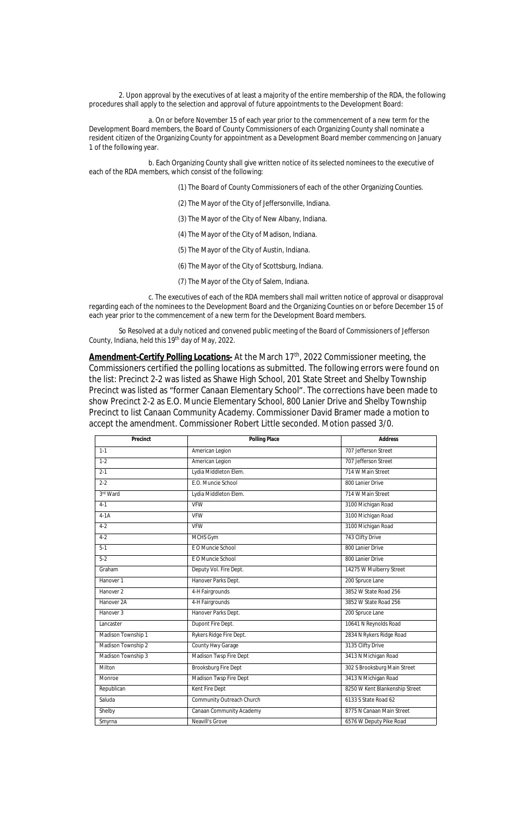2. Upon approval by the executives of at least a majority of the entire membership of the RDA, the following procedures shall apply to the selection and approval of future appointments to the Development Board:

a. On or before November 15 of each year prior to the commencement of a new term for the Development Board members, the Board of County Commissioners of each Organizing County shall nominate a resident citizen of the Organizing County for appointment as a Development Board member commencing on January 1 of the following year.

b. Each Organizing County shall give written notice of its selected nominees to the executive of each of the RDA members, which consist of the following:

(1) The Board of County Commissioners of each of the other Organizing Counties.

- (2) The Mayor of the City of Jeffersonville, Indiana.
- (3) The Mayor of the City of New Albany, Indiana.
- (4) The Mayor of the City of Madison, Indiana.
- (5) The Mayor of the City of Austin, Indiana.
- (6) The Mayor of the City of Scottsburg, Indiana.
- (7) The Mayor of the City of Salem, Indiana.

c. The executives of each of the RDA members shall mail written notice of approval or disapproval regarding each of the nominees to the Development Board and the Organizing Counties on or before December 15 of each year prior to the commencement of a new term for the Development Board members.

So Resolved at a duly noticed and convened public meeting of the Board of Commissioners of Jefferson County, Indiana, held this 19<sup>th</sup> day of May, 2022.

Amendment-Certify Polling Locations- At the March 17<sup>th</sup>, 2022 Commissioner meeting, the Commissioners certified the polling locations as submitted. The following errors were found on the list: Precinct 2-2 was listed as Shawe High School, 201 State Street and Shelby Township Precinct was listed as "former Canaan Elementary School". The corrections have been made to show Precinct 2-2 as E.O. Muncie Elementary School, 800 Lanier Drive and Shelby Township Precinct to list Canaan Community Academy. Commissioner David Bramer made a motion to accept the amendment. Commissioner Robert Little seconded. Motion passed 3/0.

| Precinct              | <b>Polling Place</b>        | <b>Address</b>                 |
|-----------------------|-----------------------------|--------------------------------|
| $1 - 1$               | American Legion             | 707 Jefferson Street           |
| $1 - 2$               | American Legion             | 707 Jefferson Street           |
| $2 - 1$               | Lydia Middleton Elem.       | 714 W Main Street              |
| $2 - 2$               | F.O. Muncie School          | 800 Lanier Drive               |
| 3rd Ward              | Lydia Middleton Elem.       | 714 W Main Street              |
| $4 - 1$               | <b>VFW</b>                  | 3100 Michigan Road             |
| $4-1A$                | <b>VFW</b>                  | 3100 Michigan Road             |
| $4 - 2$               | <b>VFW</b>                  | 3100 Michigan Road             |
| $4 - 2$               | MCHS Gym                    | 743 Clifty Drive               |
| $5-1$                 | E O Muncie School           | 800 Lanier Drive               |
| $5 - 2$               | E O Muncie School           | 800 Lanier Drive               |
| Graham                | Deputy Vol. Fire Dept.      | 14275 W Mulberry Street        |
| Hanover 1             | Hanover Parks Dept.         | 200 Spruce Lane                |
| Hanover <sub>2</sub>  | 4-H Fairgrounds             | 3852 W State Road 256          |
| Hanover <sub>2A</sub> | 4-H Fairgrounds             | 3852 W State Road 256          |
| Hanover 3             | Hanover Parks Dept.         | 200 Spruce Lane                |
| Lancaster             | Dupont Fire Dept.           | 10641 N Reynolds Road          |
| Madison Township 1    | Rykers Ridge Fire Dept.     | 2834 N Rykers Ridge Road       |
| Madison Township 2    | County Hwy Garage           | 3135 Clifty Drive              |
| Madison Township 3    | Madison Twsp Fire Dept      | 3413 N Michigan Road           |
| Milton                | <b>Brooksburg Fire Dept</b> | 302 S Brooksburg Main Street   |
| Monroe                | Madison Twsp Fire Dept      | 3413 N Michigan Road           |
| Republican            | Kent Fire Dept              | 8250 W Kent Blankenship Street |
| Saluda                | Community Outreach Church   | 6133 S State Road 62           |
| Shelby                | Canaan Community Academy    | 8775 N Canaan Main Street      |
| Smyrna                | Neavill's Grove             | 6576 W Deputy Pike Road        |